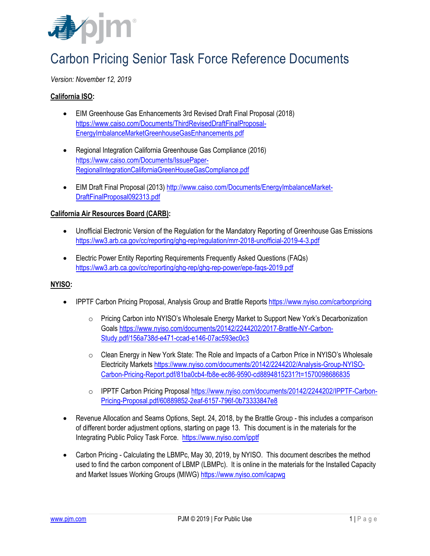

# Carbon Pricing Senior Task Force Reference Documents

# *Version: November 12, 2019*

## **California ISO:**

- EIM Greenhouse Gas Enhancements 3rd Revised Draft Final Proposal (2018) [https://www.caiso.com/Documents/ThirdRevisedDraftFinalProposal-](https://www.caiso.com/Documents/ThirdRevisedDraftFinalProposal-EnergyImbalanceMarketGreenhouseGasEnhancements.pdf)[EnergyImbalanceMarketGreenhouseGasEnhancements.pdf](https://www.caiso.com/Documents/ThirdRevisedDraftFinalProposal-EnergyImbalanceMarketGreenhouseGasEnhancements.pdf)
- Regional Integration California Greenhouse Gas Compliance (2016) [https://www.caiso.com/Documents/IssuePaper-](https://www.caiso.com/Documents/IssuePaper-RegionalIntegrationCaliforniaGreenHouseGasCompliance.pdf)[RegionalIntegrationCaliforniaGreenHouseGasCompliance.pdf](https://www.caiso.com/Documents/IssuePaper-RegionalIntegrationCaliforniaGreenHouseGasCompliance.pdf)
- EIM Draft Final Proposal (2013) [http://www.caiso.com/Documents/EnergyImbalanceMarket-](http://www.caiso.com/Documents/EnergyImbalanceMarket-DraftFinalProposal092313.pdf)[DraftFinalProposal092313.pdf](http://www.caiso.com/Documents/EnergyImbalanceMarket-DraftFinalProposal092313.pdf)

#### **California Air Resources Board (CARB):**

- Unofficial Electronic Version of the Regulation for the Mandatory Reporting of Greenhouse Gas Emissions <https://ww3.arb.ca.gov/cc/reporting/ghg-rep/regulation/mrr-2018-unofficial-2019-4-3.pdf>
- Electric Power Entity Reporting Requirements Frequently Asked Questions (FAQs) <https://ww3.arb.ca.gov/cc/reporting/ghg-rep/ghg-rep-power/epe-faqs-2019.pdf>

#### **NYISO:**

- IPPTF Carbon Pricing Proposal, Analysis Group and Brattle Reports <https://www.nyiso.com/carbonpricing>
	- $\circ$  Pricing Carbon into NYISO's Wholesale Energy Market to Support New York's Decarbonization Goals [https://www.nyiso.com/documents/20142/2244202/2017-Brattle-NY-Carbon-](https://www.nyiso.com/documents/20142/2244202/2017-Brattle-NY-Carbon-Study.pdf/156a738d-e471-ccad-e146-07ac593ec0c3)[Study.pdf/156a738d-e471-ccad-e146-07ac593ec0c3](https://www.nyiso.com/documents/20142/2244202/2017-Brattle-NY-Carbon-Study.pdf/156a738d-e471-ccad-e146-07ac593ec0c3)
	- $\circ$  Clean Energy in New York State: The Role and Impacts of a Carbon Price in NYISO's Wholesale Electricity Market[s https://www.nyiso.com/documents/20142/2244202/Analysis-Group-NYISO-](https://www.nyiso.com/documents/20142/2244202/Analysis-Group-NYISO-Carbon-Pricing-Report.pdf/81ba0cb4-fb8e-ec86-9590-cd8894815231?t=1570098686835)[Carbon-Pricing-Report.pdf/81ba0cb4-fb8e-ec86-9590-cd8894815231?t=1570098686835](https://www.nyiso.com/documents/20142/2244202/Analysis-Group-NYISO-Carbon-Pricing-Report.pdf/81ba0cb4-fb8e-ec86-9590-cd8894815231?t=1570098686835)
	- o IPPTF Carbon Pricing Proposal [https://www.nyiso.com/documents/20142/2244202/IPPTF-Carbon-](https://www.nyiso.com/documents/20142/2244202/IPPTF-Carbon-Pricing-Proposal.pdf/60889852-2eaf-6157-796f-0b73333847e8)[Pricing-Proposal.pdf/60889852-2eaf-6157-796f-0b73333847e8](https://www.nyiso.com/documents/20142/2244202/IPPTF-Carbon-Pricing-Proposal.pdf/60889852-2eaf-6157-796f-0b73333847e8)
- Revenue Allocation and Seams Options, Sept. 24, 2018, by the Brattle Group this includes a comparison of different border adjustment options, starting on page 13. This document is in the materials for the Integrating Public Policy Task Force. <https://www.nyiso.com/ipptf>
- Carbon Pricing Calculating the LBMPc, May 30, 2019, by NYISO. This document describes the method used to find the carbon component of LBMP (LBMPc). It is online in the materials for the Installed Capacity and Market Issues Working Groups (MIWG) <https://www.nyiso.com/icapwg>